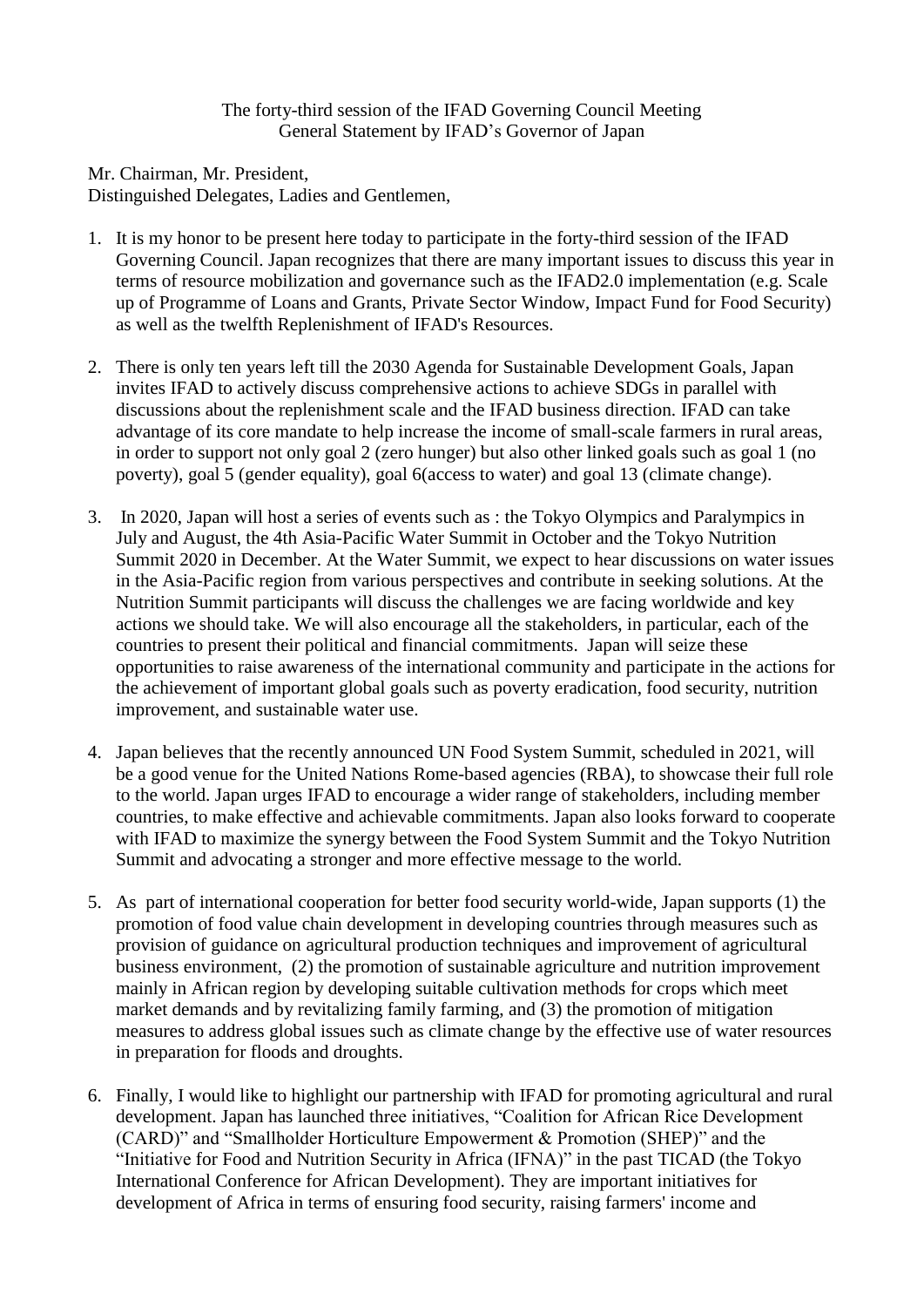## The forty-third session of the IFAD Governing Council Meeting General Statement by IFAD's Governor of Japan

Mr. Chairman, Mr. President,

Distinguished Delegates, Ladies and Gentlemen,

- 1. It is my honor to be present here today to participate in the forty-third session of the IFAD Governing Council. Japan recognizes that there are many important issues to discuss this year in terms of resource mobilization and governance such as the IFAD2.0 implementation (e.g. Scale up of Programme of Loans and Grants, Private Sector Window, Impact Fund for Food Security) as well as the twelfth Replenishment of IFAD's Resources.
- 2. There is only ten years left till the 2030 Agenda for Sustainable Development Goals, Japan invites IFAD to actively discuss comprehensive actions to achieve SDGs in parallel with discussions about the replenishment scale and the IFAD business direction. IFAD can take advantage of its core mandate to help increase the income of small-scale farmers in rural areas, in order to support not only goal 2 (zero hunger) but also other linked goals such as goal 1 (no poverty), goal 5 (gender equality), goal 6(access to water) and goal 13 (climate change).
- 3. In 2020, Japan will host a series of events such as : the Tokyo Olympics and Paralympics in July and August, the 4th Asia-Pacific Water Summit in October and the Tokyo Nutrition Summit 2020 in December. At the Water Summit, we expect to hear discussions on water issues in the Asia-Pacific region from various perspectives and contribute in seeking solutions. At the Nutrition Summit participants will discuss the challenges we are facing worldwide and key actions we should take. We will also encourage all the stakeholders, in particular, each of the countries to present their political and financial commitments. Japan will seize these opportunities to raise awareness of the international community and participate in the actions for the achievement of important global goals such as poverty eradication, food security, nutrition improvement, and sustainable water use.
- 4. Japan believes that the recently announced UN Food System Summit, scheduled in 2021, will be a good venue for the United Nations Rome-based agencies (RBA), to showcase their full role to the world. Japan urges IFAD to encourage a wider range of stakeholders, including member countries, to make effective and achievable commitments. Japan also looks forward to cooperate with IFAD to maximize the synergy between the Food System Summit and the Tokyo Nutrition Summit and advocating a stronger and more effective message to the world.
- 5. As part of international cooperation for better food security world-wide, Japan supports (1) the promotion of food value chain development in developing countries through measures such as provision of guidance on agricultural production techniques and improvement of agricultural business environment, (2) the promotion of sustainable agriculture and nutrition improvement mainly in African region by developing suitable cultivation methods for crops which meet market demands and by revitalizing family farming, and (3) the promotion of mitigation measures to address global issues such as climate change by the effective use of water resources in preparation for floods and droughts.
- 6. Finally, I would like to highlight our partnership with IFAD for promoting agricultural and rural development. Japan has launched three initiatives, "Coalition for African Rice Development (CARD)" and "Smallholder Horticulture Empowerment & Promotion (SHEP)" and the "Initiative for Food and Nutrition Security in Africa (IFNA)" in the past TICAD (the Tokyo International Conference for African Development). They are important initiatives for development of Africa in terms of ensuring food security, raising farmers' income and